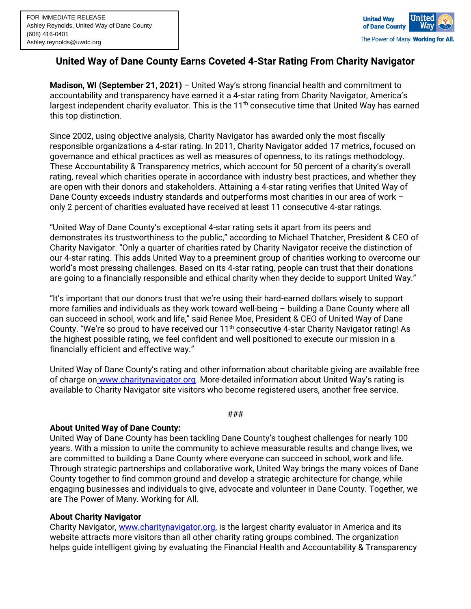

## **United Way of Dane County Earns Coveted 4-Star Rating From Charity Navigator**

**Madison, WI (September 21, 2021)** – United Way's strong financial health and commitment to accountability and transparency have earned it a 4-star rating from Charity Navigator, America's largest independent charity evaluator. This is the  $11<sup>th</sup>$  consecutive time that United Way has earned this top distinction.

Since 2002, using objective analysis, Charity Navigator has awarded only the most fiscally responsible organizations a 4-star rating. In 2011, Charity Navigator added 17 metrics, focused on governance and ethical practices as well as measures of openness, to its ratings methodology. These Accountability & Transparency metrics, which account for 50 percent of a charity's overall rating, reveal which charities operate in accordance with industry best practices, and whether they are open with their donors and stakeholders. Attaining a 4-star rating verifies that United Way of Dane County exceeds industry standards and outperforms most charities in our area of work – only 2 percent of charities evaluated have received at least 11 consecutive 4-star ratings.

"United Way of Dane County's exceptional 4-star rating sets it apart from its peers and demonstrates its trustworthiness to the public," according to Michael Thatcher, President & CEO of Charity Navigator. "Only a quarter of charities rated by Charity Navigator receive the distinction of our 4-star rating. This adds United Way to a preeminent group of charities working to overcome our world's most pressing challenges. Based on its 4-star rating, people can trust that their donations are going to a financially responsible and ethical charity when they decide to support United Way."

"It's important that our donors trust that we're using their hard-earned dollars wisely to support more families and individuals as they work toward well-being – building a Dane County where all can succeed in school, work and life," said Renee Moe, President & CEO of United Way of Dane County. "We're so proud to have received our 11<sup>th</sup> consecutive 4-star Charity Navigator rating! As the highest possible rating, we feel confident and well positioned to execute our mission in a financially efficient and effective way."

United Way of Dane County's rating and other information about charitable giving are available free of charge on [www.charitynavigator.org.](http://www.charitynavigator.org/) More-detailed information about United Way's rating is available to Charity Navigator site visitors who become registered users, another free service.

## ###

## **About United Way of Dane County:**

United Way of Dane County has been tackling Dane County's toughest challenges for nearly 100 years. With a mission to unite the community to achieve measurable results and change lives, we are committed to building a Dane County where everyone can succeed in school, work and life. Through strategic partnerships and collaborative work, United Way brings the many voices of Dane County together to find common ground and develop a strategic architecture for change, while engaging businesses and individuals to give, advocate and volunteer in Dane County. Together, we are The Power of Many. Working for All.

## **About Charity Navigator**

Charity Navigator, [www.charitynavigator.org,](http://www.charitynavigator.org/) is the largest charity evaluator in America and its website attracts more visitors than all other charity rating groups combined. The organization helps guide intelligent giving by evaluating the Financial Health and Accountability & Transparency